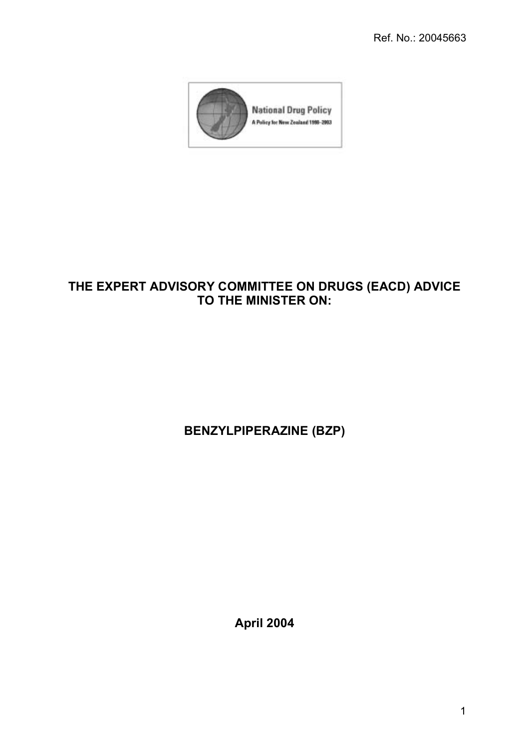

# THE EXPERT ADVISORY COMMITTEE ON DRUGS (EACD) ADVICE TO THE MINISTER ON:

**BENZYLPIPERAZINE (BZP)** 

**April 2004**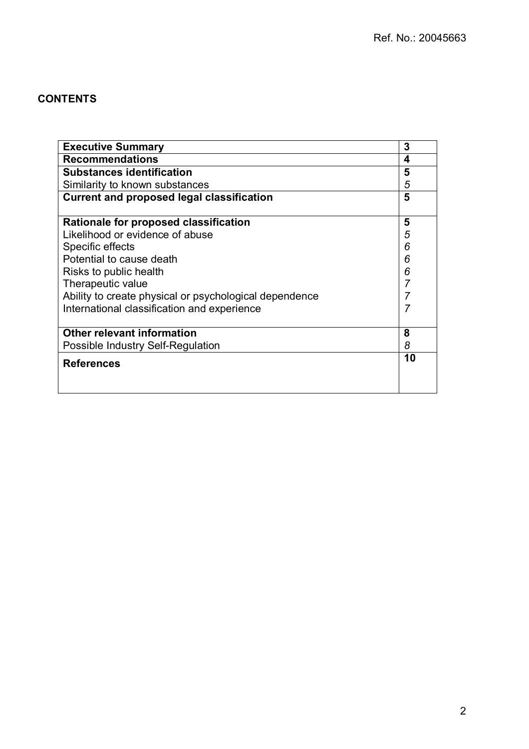## **CONTENTS**

| <b>Executive Summary</b>                               | 3  |
|--------------------------------------------------------|----|
| <b>Recommendations</b>                                 | 4  |
| <b>Substances identification</b>                       | 5  |
| Similarity to known substances                         | 5  |
| <b>Current and proposed legal classification</b>       | 5  |
| Rationale for proposed classification                  | 5  |
| Likelihood or evidence of abuse                        | 5  |
| Specific effects                                       | 6  |
| Potential to cause death                               | 6  |
| Risks to public health                                 | 6  |
| Therapeutic value                                      |    |
| Ability to create physical or psychological dependence |    |
| International classification and experience            |    |
| <b>Other relevant information</b>                      | 8  |
| Possible Industry Self-Regulation                      | 8  |
| <b>References</b>                                      | 10 |
|                                                        |    |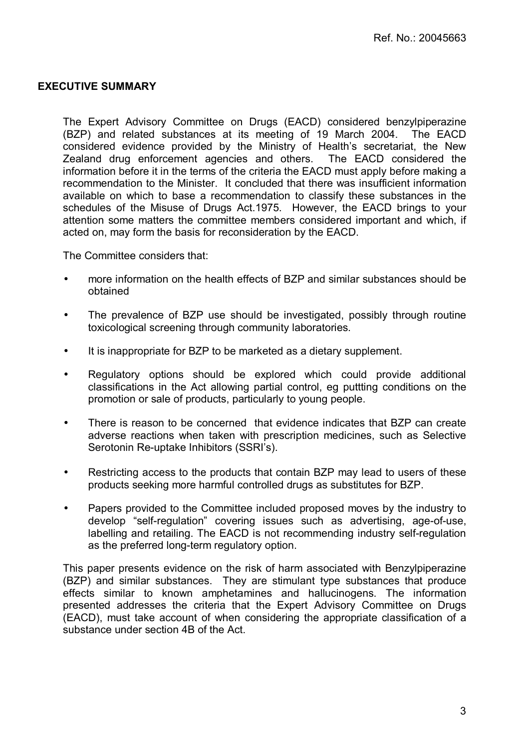## EXECUTIVE SUMMARY

The Expert Advisory Committee on Drugs (EACD) considered benzylpiperazine (BZP) and related substances at its meeting of 19 March 2004. The EACD considered evidence provided by the Ministry of Health's secretariat, the New Zealand drug enforcement agencies and others. The EACD considered the information before it in the terms of the criteria the EACD must apply before making a recommendation to the Minister. It concluded that there was insufficient information available on which to base a recommendation to classify these substances in the schedules of the Misuse of Drugs Act.1975. However, the EACD brings to your attention some matters the committee members considered important and which, if acted on, may form the basis for reconsideration by the EACD.

The Committee considers that:

- more information on the health effects of BZP and similar substances should be obtained
- The prevalence of BZP use should be investigated, possibly through routine toxicological screening through community laboratories.
- It is inappropriate for BZP to be marketed as a dietary supplement.
- Regulatory options should be explored which could provide additional classifications in the Act allowing partial control, eg puttting conditions on the promotion or sale of products, particularly to young people.
- There is reason to be concerned that evidence indicates that BZP can create adverse reactions when taken with prescription medicines, such as Selective Serotonin Re-uptake Inhibitors (SSRI's).
- Restricting access to the products that contain BZP may lead to users of these products seeking more harmful controlled drugs as substitutes for BZP.
- Papers provided to the Committee included proposed moves by the industry to develop "self-regulation" covering issues such as advertising, age-of-use, labelling and retailing. The EACD is not recommending industry self-regulation as the preferred long-term regulatory option.

This paper presents evidence on the risk of harm associated with Benzylpiperazine (BZP) and similar substances. They are stimulant type substances that produce effects similar to known amphetamines and hallucinogens. The information presented addresses the criteria that the Expert Advisory Committee on Drugs (EACD), must take account of when considering the appropriate classification of a substance under section 4B of the Act.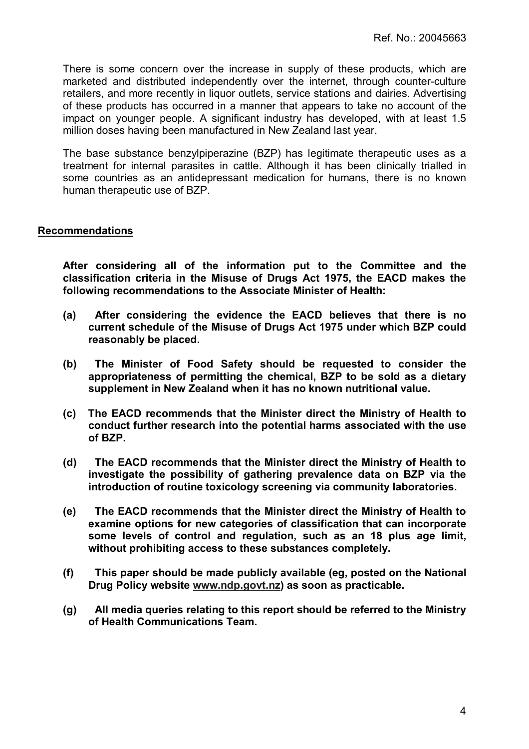There is some concern over the increase in supply of these products, which are marketed and distributed independently over the internet, through counter-culture retailers, and more recently in liquor outlets, service stations and dairies. Advertising of these products has occurred in a manner that appears to take no account of the impact on younger people. A significant industry has developed, with at least 1.5 million doses having been manufactured in New Zealand last year.

The base substance benzylpiperazine (BZP) has legitimate therapeutic uses as a treatment for internal parasites in cattle. Although it has been clinically trialled in some countries as an antidepressant medication for humans, there is no known human therapeutic use of BZP.

## Recommendations

After considering all of the information put to the Committee and the classification criteria in the Misuse of Drugs Act 1975, the EACD makes the following recommendations to the Associate Minister of Health:

- (a) After considering the evidence the EACD believes that there is no current schedule of the Misuse of Drugs Act 1975 under which BZP could reasonably be placed.
- (b) The Minister of Food Safety should be requested to consider the appropriateness of permitting the chemical, BZP to be sold as a dietary supplement in New Zealand when it has no known nutritional value.
- (c) The EACD recommends that the Minister direct the Ministry of Health to conduct further research into the potential harms associated with the use of BZP.
- (d) The EACD recommends that the Minister direct the Ministry of Health to investigate the possibility of gathering prevalence data on BZP via the introduction of routine toxicology screening via community laboratories.
- (e) The EACD recommends that the Minister direct the Ministry of Health to examine options for new categories of classification that can incorporate some levels of control and regulation, such as an 18 plus age limit, without prohibiting access to these substances completely.
- (f) This paper should be made publicly available (eg, posted on the National Drug Policy website www.ndp.govt.nz) as soon as practicable.
- (g) All media queries relating to this report should be referred to the Ministry of Health Communications Team.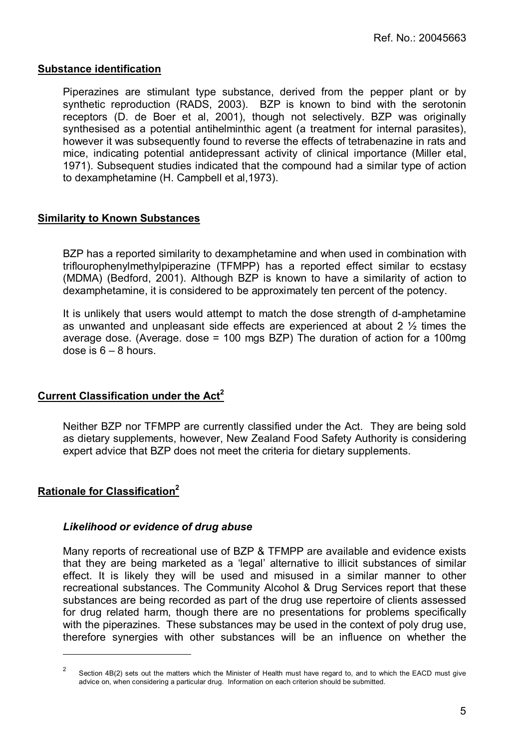## Substance identification

Piperazines are stimulant type substance, derived from the pepper plant or by synthetic reproduction (RADS, 2003). BZP is known to bind with the serotonin receptors (D. de Boer et al, 2001), though not selectively. BZP was originally synthesised as a potential antihelminthic agent (a treatment for internal parasites), however it was subsequently found to reverse the effects of tetrabenazine in rats and mice, indicating potential antidepressant activity of clinical importance (Miller etal, 1971). Subsequent studies indicated that the compound had a similar type of action to dexamphetamine (H. Campbell et al,1973).

## Similarity to Known Substances

BZP has a reported similarity to dexamphetamine and when used in combination with triflourophenylmethylpiperazine (TFMPP) has a reported effect similar to ecstasy (MDMA) (Bedford, 2001). Although BZP is known to have a similarity of action to dexamphetamine, it is considered to be approximately ten percent of the potency.

It is unlikely that users would attempt to match the dose strength of d-amphetamine as unwanted and unpleasant side effects are experienced at about 2 ½ times the average dose. (Average. dose = 100 mgs BZP) The duration of action for a 100mg dose is  $6 - 8$  hours.

## Current Classification under the Act<sup>2</sup>

Neither BZP nor TFMPP are currently classified under the Act. They are being sold as dietary supplements, however, New Zealand Food Safety Authority is considering expert advice that BZP does not meet the criteria for dietary supplements.

## Rationale for Classification<sup>2</sup>

l

## Likelihood or evidence of drug abuse

Many reports of recreational use of BZP & TFMPP are available and evidence exists that they are being marketed as a 'legal' alternative to illicit substances of similar effect. It is likely they will be used and misused in a similar manner to other recreational substances. The Community Alcohol & Drug Services report that these substances are being recorded as part of the drug use repertoire of clients assessed for drug related harm, though there are no presentations for problems specifically with the piperazines. These substances may be used in the context of poly drug use, therefore synergies with other substances will be an influence on whether the

Section 4B(2) sets out the matters which the Minister of Health must have regard to, and to which the EACD must give advice on, when considering a particular drug. Information on each criterion should be submitted.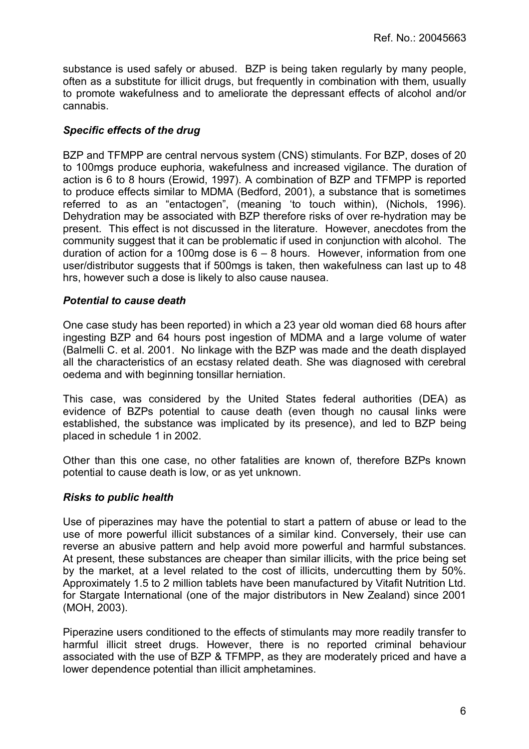substance is used safely or abused. BZP is being taken regularly by many people, often as a substitute for illicit drugs, but frequently in combination with them, usually to promote wakefulness and to ameliorate the depressant effects of alcohol and/or cannabis.

## Specific effects of the drug

BZP and TFMPP are central nervous system (CNS) stimulants. For BZP, doses of 20 to 100mgs produce euphoria, wakefulness and increased vigilance. The duration of action is 6 to 8 hours (Erowid, 1997). A combination of BZP and TFMPP is reported to produce effects similar to MDMA (Bedford, 2001), a substance that is sometimes referred to as an "entactogen", (meaning 'to touch within), (Nichols, 1996). Dehydration may be associated with BZP therefore risks of over re-hydration may be present. This effect is not discussed in the literature. However, anecdotes from the community suggest that it can be problematic if used in conjunction with alcohol. The duration of action for a 100mg dose is  $6 - 8$  hours. However, information from one user/distributor suggests that if 500mgs is taken, then wakefulness can last up to 48 hrs, however such a dose is likely to also cause nausea.

## Potential to cause death

One case study has been reported) in which a 23 year old woman died 68 hours after ingesting BZP and 64 hours post ingestion of MDMA and a large volume of water (Balmelli C. et al. 2001. No linkage with the BZP was made and the death displayed all the characteristics of an ecstasy related death. She was diagnosed with cerebral oedema and with beginning tonsillar herniation.

This case, was considered by the United States federal authorities (DEA) as evidence of BZPs potential to cause death (even though no causal links were established, the substance was implicated by its presence), and led to BZP being placed in schedule 1 in 2002.

Other than this one case, no other fatalities are known of, therefore BZPs known potential to cause death is low, or as yet unknown.

## Risks to public health

Use of piperazines may have the potential to start a pattern of abuse or lead to the use of more powerful illicit substances of a similar kind. Conversely, their use can reverse an abusive pattern and help avoid more powerful and harmful substances. At present, these substances are cheaper than similar illicits, with the price being set by the market, at a level related to the cost of illicits, undercutting them by 50%. Approximately 1.5 to 2 million tablets have been manufactured by Vitafit Nutrition Ltd. for Stargate International (one of the major distributors in New Zealand) since 2001 (MOH, 2003).

Piperazine users conditioned to the effects of stimulants may more readily transfer to harmful illicit street drugs. However, there is no reported criminal behaviour associated with the use of BZP & TFMPP, as they are moderately priced and have a lower dependence potential than illicit amphetamines.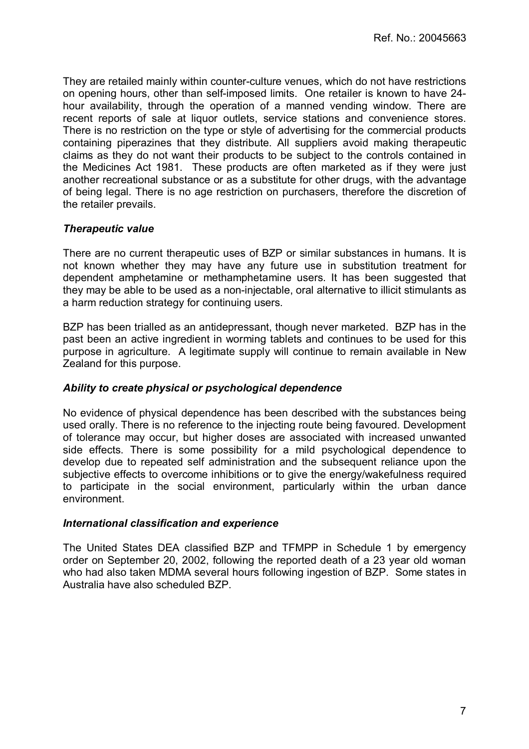They are retailed mainly within counter-culture venues, which do not have restrictions on opening hours, other than self-imposed limits. One retailer is known to have 24 hour availability, through the operation of a manned vending window. There are recent reports of sale at liquor outlets, service stations and convenience stores. There is no restriction on the type or style of advertising for the commercial products containing piperazines that they distribute. All suppliers avoid making therapeutic claims as they do not want their products to be subject to the controls contained in the Medicines Act 1981. These products are often marketed as if they were just another recreational substance or as a substitute for other drugs, with the advantage of being legal. There is no age restriction on purchasers, therefore the discretion of the retailer prevails.

## Therapeutic value

There are no current therapeutic uses of BZP or similar substances in humans. It is not known whether they may have any future use in substitution treatment for dependent amphetamine or methamphetamine users. It has been suggested that they may be able to be used as a non-injectable, oral alternative to illicit stimulants as a harm reduction strategy for continuing users.

BZP has been trialled as an antidepressant, though never marketed. BZP has in the past been an active ingredient in worming tablets and continues to be used for this purpose in agriculture. A legitimate supply will continue to remain available in New Zealand for this purpose.

## Ability to create physical or psychological dependence

No evidence of physical dependence has been described with the substances being used orally. There is no reference to the injecting route being favoured. Development of tolerance may occur, but higher doses are associated with increased unwanted side effects. There is some possibility for a mild psychological dependence to develop due to repeated self administration and the subsequent reliance upon the subjective effects to overcome inhibitions or to give the energy/wakefulness required to participate in the social environment, particularly within the urban dance environment.

## International classification and experience

The United States DEA classified BZP and TFMPP in Schedule 1 by emergency order on September 20, 2002, following the reported death of a 23 year old woman who had also taken MDMA several hours following ingestion of BZP. Some states in Australia have also scheduled BZP.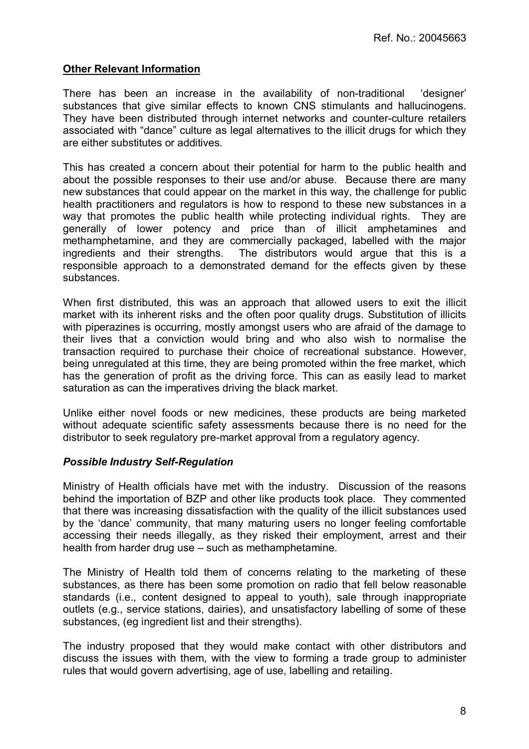## Other Relevant Information

There has been an increase in the availability of non-traditional 'designer' substances that give similar effects to known CNS stimulants and hallucinogens. They have been distributed through internet networks and counter-culture retailers associated with "dance" culture as legal alternatives to the illicit drugs for which they are either substitutes or additives.

This has created a concern about their potential for harm to the public health and about the possible responses to their use and/or abuse. Because there are many new substances that could appear on the market in this way, the challenge for public health practitioners and regulators is how to respond to these new substances in a way that promotes the public health while protecting individual rights. They are generally of lower potency and price than of illicit amphetamines and methamphetamine, and they are commercially packaged, labelled with the major ingredients and their strengths. The distributors would argue that this is a responsible approach to a demonstrated demand for the effects given by these substances.

When first distributed, this was an approach that allowed users to exit the illicit market with its inherent risks and the often poor quality drugs. Substitution of illicits with piperazines is occurring, mostly amongst users who are afraid of the damage to their lives that a conviction would bring and who also wish to normalise the transaction required to purchase their choice of recreational substance. However, being unregulated at this time, they are being promoted within the free market, which has the generation of profit as the driving force. This can as easily lead to market saturation as can the imperatives driving the black market.

Unlike either novel foods or new medicines, these products are being marketed without adequate scientific safety assessments because there is no need for the distributor to seek regulatory pre-market approval from a regulatory agency.

## Possible Industry Self-Regulation

Ministry of Health officials have met with the industry. Discussion of the reasons behind the importation of BZP and other like products took place. They commented that there was increasing dissatisfaction with the quality of the illicit substances used by the ëdanceí community, that many maturing users no longer feeling comfortable accessing their needs illegally, as they risked their employment, arrest and their health from harder drug use  $-$  such as methamphetamine.

The Ministry of Health told them of concerns relating to the marketing of these substances, as there has been some promotion on radio that fell below reasonable standards (i.e., content designed to appeal to youth), sale through inappropriate outlets (e.g., service stations, dairies), and unsatisfactory labelling of some of these substances, (eg ingredient list and their strengths).

The industry proposed that they would make contact with other distributors and discuss the issues with them, with the view to forming a trade group to administer rules that would govern advertising, age of use, labelling and retailing.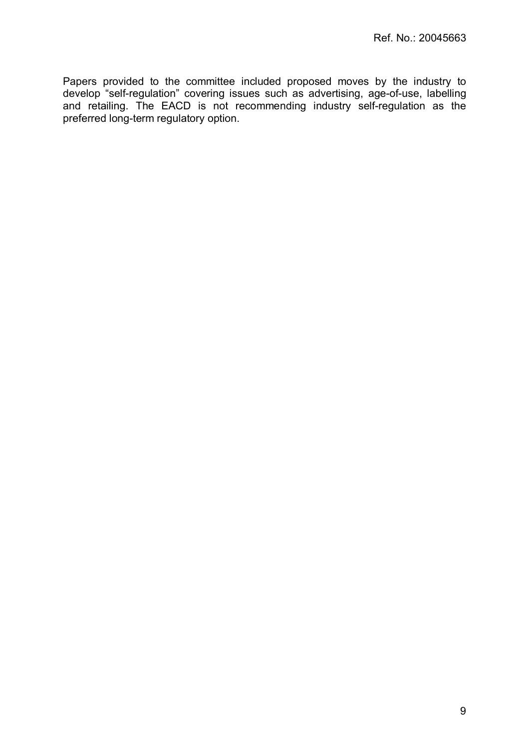Papers provided to the committee included proposed moves by the industry to develop "self-regulation" covering issues such as advertising, age-of-use, labelling and retailing. The EACD is not recommending industry self-regulation as the preferred long-term regulatory option.